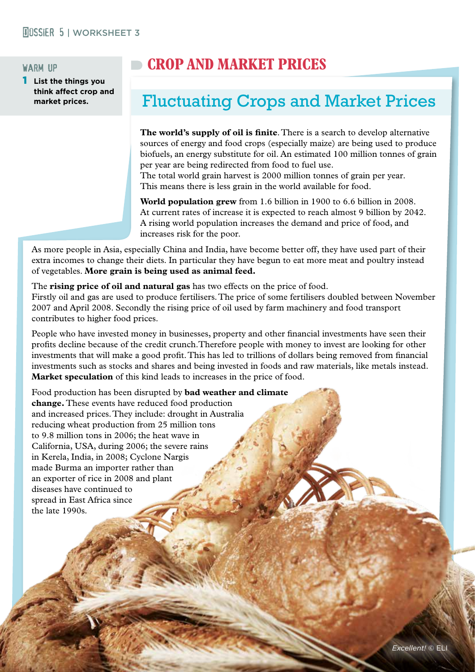#### warm up

**List the things you think affect crop and market prices.** 

# **CROP AND MARKET PRICES**

# Fluctuating Crops and Market Prices

**The world's supply of oil is finite**. There is a search to develop alternative sources of energy and food crops (especially maize) are being used to produce biofuels, an energy substitute for oil. An estimated 100 million tonnes of grain per year are being redirected from food to fuel use.

The total world grain harvest is 2000 million tonnes of grain per year. This means there is less grain in the world available for food.

**World population grew** from 1.6 billion in 1900 to 6.6 billion in 2008. At current rates of increase it is expected to reach almost 9 billion by 2042. A rising world population increases the demand and price of food, and increases risk for the poor.

As more people in Asia, especially China and India, have become better off, they have used part of their extra incomes to change their diets. In particular they have begun to eat more meat and poultry instead of vegetables. **More grain is being used as animal feed.**

The **rising price of oil and natural gas** has two effects on the price of food.

Firstly oil and gas are used to produce fertilisers. The price of some fertilisers doubled between November 2007 and April 2008. Secondly the rising price of oil used by farm machinery and food transport contributes to higher food prices.

People who have invested money in businesses, property and other financial investments have seen their profits decline because of the credit crunch.Therefore people with money to invest are looking for other investments that will make a good profit. This has led to trillions of dollars being removed from financial investments such as stocks and shares and being invested in foods and raw materials, like metals instead. **Market speculation** of this kind leads to increases in the price of food.

Food production has been disrupted by **bad weather and climate change.** These events have reduced food production and increased prices. They include: drought in Australia reducing wheat production from 25 million tons to 9.8 million tons in 2006; the heat wave in California, USA, during 2006; the severe rains in Kerela, India, in 2008; Cyclone Nargis made Burma an importer rather than an exporter of rice in 2008 and plant diseases have continued to spread in East Africa since the late 1990s.